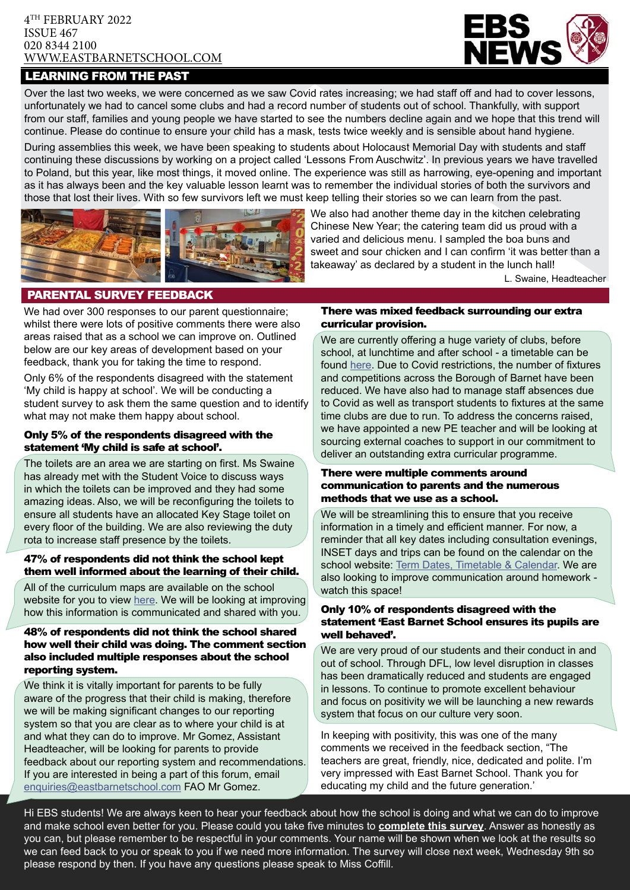#### 4TH FEBRUARY 2022 ISSUE 467 020 8344 2100 [WWW.EASTBARNETSCHOOL.](http://www.eastbarnet.barnet.sch.uk)COM

# LEARNING FROM THE PAST



Over the last two weeks, we were concerned as we saw Covid rates increasing; we had staff off and had to cover lessons, unfortunately we had to cancel some clubs and had a record number of students out of school. Thankfully, with support from our staff, families and young people we have started to see the numbers decline again and we hope that this trend will continue. Please do continue to ensure your child has a mask, tests twice weekly and is sensible about hand hygiene.

During assemblies this week, we have been speaking to students about Holocaust Memorial Day with students and staff continuing these discussions by working on a project called 'Lessons From Auschwitz'. In previous years we have travelled to Poland, but this year, like most things, it moved online. The experience was still as harrowing, eye-opening and important as it has always been and the key valuable lesson learnt was to remember the individual stories of both the survivors and those that lost their lives. With so few survivors left we must keep telling their stories so we can learn from the past.



We also had another theme day in the kitchen celebrating Chinese New Year; the catering team did us proud with a varied and delicious menu. I sampled the boa buns and sweet and sour chicken and I can confirm 'it was better than a takeaway' as declared by a student in the lunch hall!

L. Swaine, Headteacher

# PARENTAL SURVEY FEEDBACK

We had over 300 responses to our parent questionnaire; whilst there were lots of positive comments there were also areas raised that as a school we can improve on. Outlined below are our key areas of development based on your feedback, thank you for taking the time to respond.

Only 6% of the respondents disagreed with the statement 'My child is happy at school'. We will be conducting a student survey to ask them the same question and to identify what may not make them happy about school.

#### Only 5% of the respondents disagreed with the statement 'My child is safe at school'.

The toilets are an area we are starting on first. Ms Swaine has already met with the Student Voice to discuss ways in which the toilets can be improved and they had some amazing ideas. Also, we will be reconfiguring the toilets to ensure all students have an allocated Key Stage toilet on every floor of the building. We are also reviewing the duty rota to increase staff presence by the toilets.

#### 47% of respondents did not think the school kept them well informed about the learning of their child.

All of the curriculum maps are available on the school website for you to view [here.](https://www.eastbarnetschool.com/curriculum/curriculum-overview/) We will be looking at improving how this information is communicated and shared with you.

#### 48% of respondents did not think the school shared how well their child was doing. The comment section also included multiple responses about the school reporting system.

We think it is vitally important for parents to be fully aware of the progress that their child is making, therefore we will be making significant changes to our reporting system so that you are clear as to where your child is at and what they can do to improve. Mr Gomez, Assistant Headteacher, will be looking for parents to provide feedback about our reporting system and recommendations. If you are interested in being a part of this forum, email [enquiries@eastbarnetschool.com](mailto:enquiries%40eastbarnetschool.com?subject=Parent%20Forum%20for%20Reports) FAO Mr Gomez.

#### There was mixed feedback surrounding our extra curricular provision.

We are currently offering a huge variety of clubs, before school, at lunchtime and after school - a timetable can be found [here](https://www.eastbarnetschool.com/wp-content/uploads/2022/01/EBS-Spring-Clubs-Timetable-2021-2022.pdf). Due to Covid restrictions, the number of fixtures and competitions across the Borough of Barnet have been reduced. We have also had to manage staff absences due to Covid as well as transport students to fixtures at the same time clubs are due to run. To address the concerns raised, we have appointed a new PE teacher and will be looking at sourcing external coaches to support in our commitment to deliver an outstanding extra curricular programme.

#### There were multiple comments around communication to parents and the numerous methods that we use as a school.

We will be streamlining this to ensure that you receive information in a timely and efficient manner. For now, a reminder that all key dates including consultation evenings, INSET days and trips can be found on the calendar on the school website: [Term Dates, Timetable & Calendar.](https://www.eastbarnetschool.com/school-life/term-dates-timetable-calendar/) We are also looking to improve communication around homework watch this space!

#### Only 10% of respondents disagreed with the statement 'East Barnet School ensures its pupils are well behaved'.

We are very proud of our students and their conduct in and out of school. Through DFL, low level disruption in classes has been dramatically reduced and students are engaged in lessons. To continue to promote excellent behaviour and focus on positivity we will be launching a new rewards system that focus on our culture very soon.

In keeping with positivity, this was one of the many comments we received in the feedback section, "The teachers are great, friendly, nice, dedicated and polite. I'm very impressed with East Barnet School. Thank you for educating my child and the future generation.'

Hi EBS students! We are always keen to hear your feedback about how the school is doing and what we can do to improve and make school even better for you. Please could you take five minutes to **[complete this survey](https://forms.office.com/r/1A9w2TmB6a)**. Answer as honestly as you can, but please remember to be respectful in your comments. Your name will be shown when we look at the results so we can feed back to you or speak to you if we need more information. The survey will close next week, Wednesday 9th so please respond by then. If you have any questions please speak to Miss Coffill.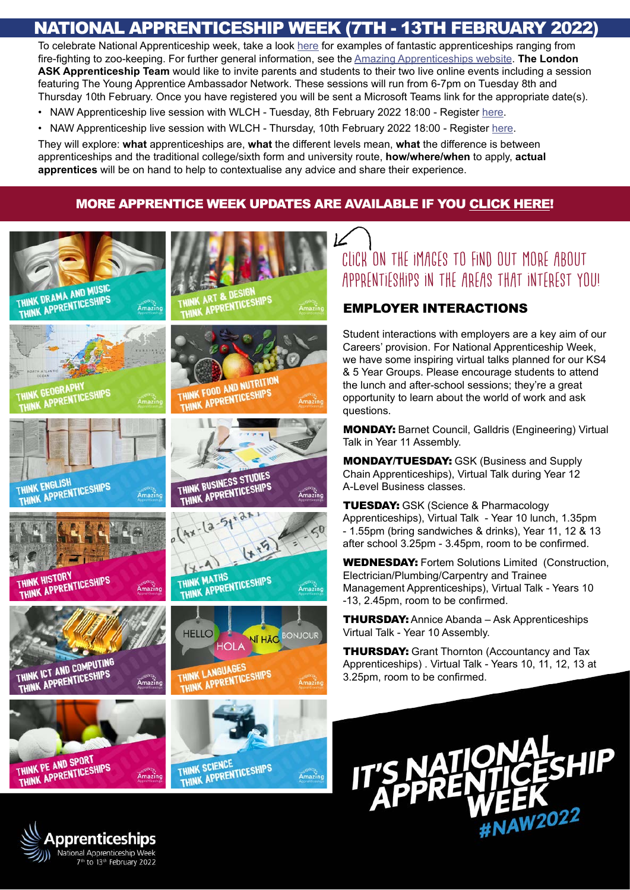# NATIONAL APPRENTICESHIP WEEK (7TH - 13TH FEBRUARY 2022)

To celebrate National Apprenticeship week, take a look [here](https://amazingapprenticeships.com/resources/) for examples of fantastic apprenticeships ranging from fire-fighting to zoo-keeping. For further general information, see the [Amazing Apprenticeships website](https://amazingapprenticeships.com/apprenticeships/). **The London ASK Apprenticeship Team** would like to invite parents and students to their two live online events including a session featuring The Young Apprentice Ambassador Network. These sessions will run from 6-7pm on Tuesday 8th and Thursday 10th February. Once you have registered you will be sent a Microsoft Teams link for the appropriate date(s).

- NAW Apprenticeship live session with WLCH Tuesday, 8th February 2022 18:00 Register [here.](https://www.eventbrite.co.uk/e/naw-apprenticeship-live-session-with-wlch-tickets-256879231697)
- NAW Apprenticeship live session with WLCH Thursday, 10th February 2022 18:00 Register [here](https://www.eventbrite.co.uk/e/naw-apprenticeship-live-session-with-wlch-tickets-256882641897).

They will explore: **what** apprenticeships are, **what** the different levels mean, **what** the difference is between apprenticeships and the traditional college/sixth form and university route, **how/where/when** to apply, **actual apprentices** will be on hand to help to contextualise any advice and share their experience.

# MORE APPRENTICE WEEK UPDATES ARE AVAILABLE IF YOU [CLICK HERE!](https://sway.office.com/DAr13NcmGFMK2I5O)



pprenticeships. National Apprenticeship Week 7th to 13th February 2022

# Click on the images to find out more about apprentieships in the areas that interest you!

# Employer Interactions

Student interactions with employers are a key aim of our Careers' provision. For National Apprenticeship Week, we have some inspiring virtual talks planned for our KS4 & 5 Year Groups. Please encourage students to attend the lunch and after-school sessions; they're a great opportunity to learn about the world of work and ask questions.

**MONDAY:** Barnet Council, Galldris (Engineering) Virtual Talk in Year 11 Assembly.

Monday/Tuesday: GSK (Business and Supply Chain Apprenticeships), Virtual Talk during Year 12 A-Level Business classes.

**TUESDAY: GSK (Science & Pharmacology** Apprenticeships), Virtual Talk - Year 10 lunch, 1.35pm - 1.55pm (bring sandwiches & drinks), Year 11, 12 & 13 after school 3.25pm - 3.45pm, room to be confirmed.

WEDNESDAY: Fortem Solutions Limited (Construction, Electrician/Plumbing/Carpentry and Trainee Management Apprenticeships), Virtual Talk - Years 10 -13, 2.45pm, room to be confirmed.

**THURSDAY:** Annice Abanda – Ask Apprenticeships Virtual Talk - Year 10 Assembly.

**THURSDAY:** Grant Thornton (Accountancy and Tax Apprenticeships) . Virtual Talk - Years 10, 11, 12, 13 at 3.25pm, room to be confirmed.

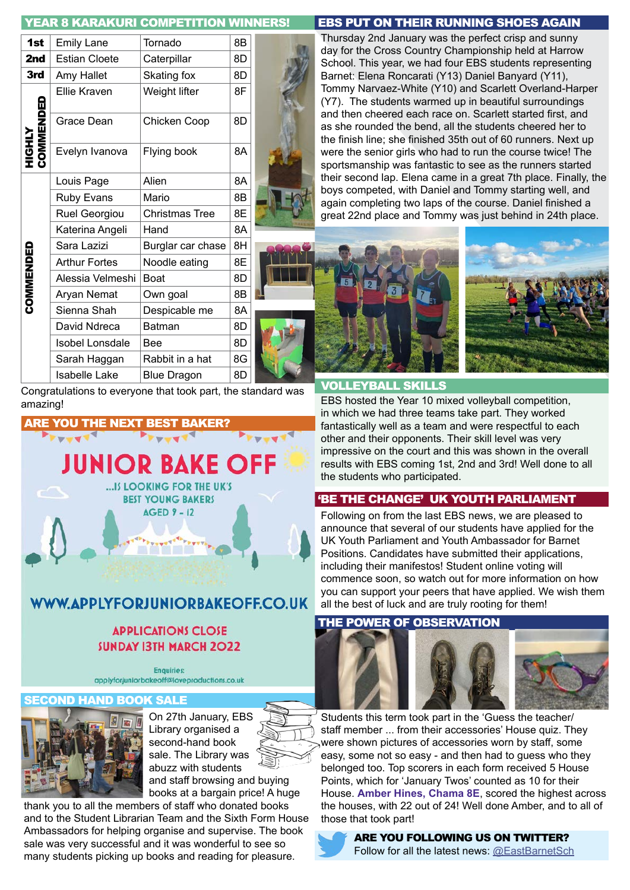# YEAR 8 KARAKURI COMPETITION WINNERS!

| 1st                         | <b>Emily Lane</b>      | Tornado               | 8B |  |
|-----------------------------|------------------------|-----------------------|----|--|
| 2nd                         | <b>Estian Cloete</b>   | Caterpillar           | 8D |  |
| 3rd                         | Amy Hallet             | Skating fox           | 8D |  |
| <b>HIGHLY<br/>COMMENDED</b> | Ellie Kraven           | Weight lifter         | 8F |  |
|                             | Grace Dean             | Chicken Coop          | 8D |  |
|                             | Evelyn Ivanova         | Flying book           | 8A |  |
| <b>COMMENDED</b>            | Louis Page             | Alien                 | 8A |  |
|                             | <b>Ruby Evans</b>      | Mario                 | 8B |  |
|                             | Ruel Georgiou          | <b>Christmas Tree</b> | 8E |  |
|                             | Katerina Angeli        | Hand                  | 8A |  |
|                             | Sara Lazizi            | Burglar car chase     | 8H |  |
|                             | <b>Arthur Fortes</b>   | Noodle eating         | 8E |  |
|                             | Alessia Velmeshi       | <b>Boat</b>           | 8D |  |
|                             | Aryan Nemat            | Own goal              | 8B |  |
|                             | Sienna Shah            | Despicable me         | 8A |  |
|                             | David Ndreca           | <b>Batman</b>         | 8D |  |
|                             | <b>Isobel Lonsdale</b> | <b>Bee</b>            | 8D |  |
|                             | Sarah Haggan           | Rabbit in a hat       | 8G |  |
|                             | Isabelle Lake          | <b>Blue Dragon</b>    | 8D |  |

Congratulations to everyone that took part, the standard was amazing! EBS hosted the Year 10 mixed volleyball competition,



# **APPLICATIONS CLOSE SUNDAY 13TH MARCH 2022**

**Enquiries:** applyforjuniorbakeoff@loveproductions.co.uk

#### **HAND BOOK SALE**



On 27th January, EBS Library organised a second-hand book sale. The Library was abuzz with students

and staff browsing and buying books at a bargain price! A huge

thank you to all the members of staff who donated books and to the Student Librarian Team and the Sixth Form House Ambassadors for helping organise and supervise. The book sale was very successful and it was wonderful to see so many students picking up books and reading for pleasure.

#### EBS PUT ON THEIR RUNNING SHOES AGAIN

Thursday 2nd January was the perfect crisp and sunny day for the Cross Country Championship held at Harrow School. This year, we had four EBS students representing Barnet: Elena Roncarati (Y13) Daniel Banyard (Y11), Tommy Narvaez-White (Y10) and Scarlett Overland-Harper (Y7). The students warmed up in beautiful surroundings and then cheered each race on. Scarlett started first, and as she rounded the bend, all the students cheered her to the finish line; she finished 35th out of 60 runners. Next up were the senior girls who had to run the course twice! The sportsmanship was fantastic to see as the runners started their second lap. Elena came in a great 7th place. Finally, the boys competed, with Daniel and Tommy starting well, and again completing two laps of the course. Daniel finished a great 22nd place and Tommy was just behind in 24th place.



#### VOLLEYBALL SKILLS

in which we had three teams take part. They worked fantastically well as a team and were respectful to each other and their opponents. Their skill level was very impressive on the court and this was shown in the overall results with EBS coming 1st, 2nd and 3rd! Well done to all the students who participated.

#### 'BE THE CHANGE' UK YOUTH PARLIAMENT

Following on from the last EBS news, we are pleased to announce that several of our students have applied for the UK Youth Parliament and Youth Ambassador for Barnet Positions. Candidates have submitted their applications, including their manifestos! Student online voting will commence soon, so watch out for more information on how you can support your peers that have applied. We wish them all the best of luck and are truly rooting for them!

#### THE POWER OF OBSERVATION



Students this term took part in the 'Guess the teacher/ staff member ... from their accessories' House quiz. They were shown pictures of accessories worn by staff, some easy, some not so easy - and then had to guess who they belonged too. Top scorers in each form received 5 House Points, which for 'January Twos' counted as 10 for their House. **Amber Hines, Chama 8E**, scored the highest across the houses, with 22 out of 24! Well done Amber, and to all of those that took part!



ARE YOU FOLLOWING US ON TWITTER? Follow for all the latest news: [@EastBarnetSch](https://twitter.com/EastBarnetSch)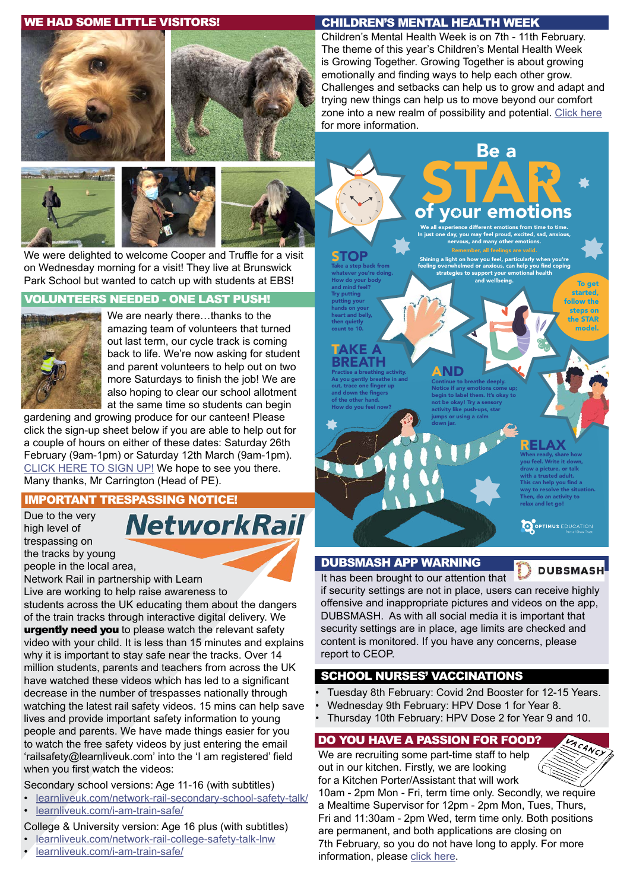#### WE HAD SOME LITTLE VISITORS!











We were delighted to welcome Cooper and Truffle for a visit on Wednesday morning for a visit! They live at Brunswick Park School but wanted to catch up with students at EBS!

## VOLUNTEERS NEEDED - ONE LAST PUSH!



We are nearly there…thanks to the amazing team of volunteers that turned out last term, our cycle track is coming back to life. We're now asking for student and parent volunteers to help out on two more Saturdays to finish the job! We are also hoping to clear our school allotment at the same time so students can begin

gardening and growing produce for our canteen! Please click the sign-up sheet below if you are able to help out for a couple of hours on either of these dates: Saturday 26th February (9am-1pm) or Saturday 12th March (9am-1pm). [CLICK HERE TO SIGN UP!](https://bit.ly/3olZq1M) We hope to see you there. Many thanks, Mr Carrington (Head of PE).

# IMPORTANT TRESPASSING NOTICE!

Due to the very high level of trespassing on

**NetworkRail** 

the tracks by young people in the local area,

Network Rail in partnership with Learn

Live are working to help raise awareness to

students across the UK educating them about the dangers of the train tracks through interactive digital delivery. We urgently need you to please watch the relevant safety video with your child. It is less than 15 minutes and explains why it is important to stay safe near the tracks. Over 14 million students, parents and teachers from across the UK have watched these videos which has led to a significant decrease in the number of trespasses nationally through watching the latest rail safety videos. 15 mins can help save lives and provide important safety information to young people and parents. We have made things easier for you to watch the free safety videos by just entering the email 'railsafety@learnliveuk.com' into the 'I am registered' field when you first watch the videos:

Secondary school versions: Age 11-16 (with subtitles)

- [learnliveuk.com/network-rail-secondary-school-safety-talk/](https://learnliveuk.com/network-rail-secondary-school-safety-talk/)
- [learnliveuk.com/i-am-train-safe/](https://learnliveuk.com/i-am-train-safe/)

# College & University version: Age 16 plus (with subtitles)

- [learnliveuk.com/network-rail-college-safety-talk-lnw](https://learnliveuk.com/network-rail-college-safety-talk-lnw)
- [learnliveuk.com/i-am-train-safe/](https://learnliveuk.com/i-am-train-safe/)

#### CHILDREN'S MENTAL HEALTH WEEK

Children's Mental Health Week is on 7th - 11th February. The theme of this year's Children's Mental Health Week is Growing Together. Growing Together is about growing emotionally and finding ways to help each other grow. Challenges and setbacks can help us to grow and adapt and trying new things can help us to move beyond our comfort zone into a new realm of possibility and potential. [Click here](https://www.childrensmentalhealthweek.org.uk/parents-and-carers/) for more information.

Be a

nervous, and many other emotions.

and wellbeing.



Try putting putting your hands on your heart and belly, then quietly count to 10.

#### TAKE A **BREATH**

Practise a breathing activity. As you gently breathe in and out, trace one finger up and down the fingers of the other hand. How do you feel now?

## AND Continue to breathe deeply.

Notice if any emotions come up; begin to label them. It's okay to not be okay! Try a sensory activity like push-ups, star jumps or using a calm down jar.

# RELAX

When ready, share how you feel. Write it down, draw a picture, or talk with a trusted adult. This can help you find a way to resolve the situation. Then, do an activity to relax and let go!

To get started, follow the steps on the STAR model.

O OPTIMUS EDUCATION

DUBSMASH APP WARNING

# **DUBSMA**

ACANC

It has been brought to our attention that if security settings are not in place, users can receive highly offensive and inappropriate pictures and videos on the app, DUBSMASH. As with all social media it is important that security settings are in place, age limits are checked and content is monitored. If you have any concerns, please report to CEOP.

#### SCHOOL NURSES' VACCINATIONS

- Tuesday 8th February: Covid 2nd Booster for 12-15 Years.
- Wednesday 9th February: HPV Dose 1 for Year 8.
- Thursday 10th February: HPV Dose 2 for Year 9 and 10.

# DO YOU HAVE A PASSION FOR FOOD?

We are recruiting some part-time staff to help out in our kitchen. Firstly, we are looking for a Kitchen Porter/Assistant that will work

10am - 2pm Mon - Fri, term time only. Secondly, we require a Mealtime Supervisor for 12pm - 2pm Mon, Tues, Thurs, Fri and 11:30am - 2pm Wed, term time only. Both positions are permanent, and both applications are closing on 7th February, so you do not have long to apply. For more information, please [click here](https://www.eastbarnetschool.com/vacancies/).